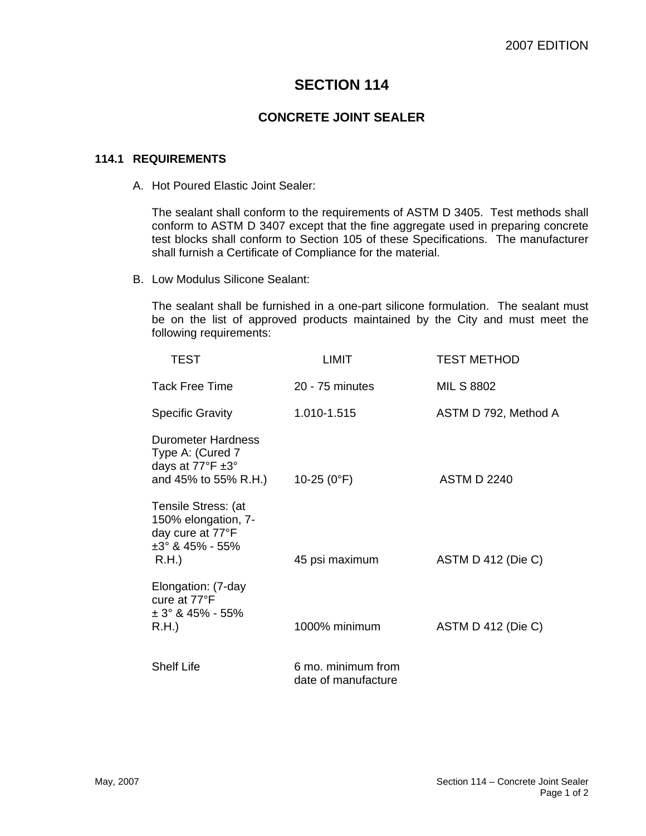# **SECTION 114**

## **CONCRETE JOINT SEALER**

#### **114.1 REQUIREMENTS**

A. Hot Poured Elastic Joint Sealer:

The sealant shall conform to the requirements of ASTM D 3405. Test methods shall conform to ASTM D 3407 except that the fine aggregate used in preparing concrete test blocks shall conform to Section 105 of these Specifications. The manufacturer shall furnish a Certificate of Compliance for the material.

B. Low Modulus Silicone Sealant:

The sealant shall be furnished in a one-part silicone formulation. The sealant must be on the list of approved products maintained by the City and must meet the following requirements:

| TEST                                                                                                  | LIMIT                                     | <b>TEST METHOD</b>   |
|-------------------------------------------------------------------------------------------------------|-------------------------------------------|----------------------|
| Tack Free Time                                                                                        | 20 - 75 minutes                           | MIL S 8802           |
| <b>Specific Gravity</b>                                                                               | 1.010-1.515                               | ASTM D 792, Method A |
| Durometer Hardness<br>Type A: (Cured 7<br>days at 77°F ±3°<br>and 45% to 55% R.H.)                    | 10-25 $(0^{\circ}F)$                      | <b>ASTM D 2240</b>   |
| Tensile Stress: (at<br>150% elongation, 7-<br>day cure at 77°F<br>$\pm 3^{\circ}$ & 45% - 55%<br>R.H. | 45 psi maximum                            | ASTM D 412 (Die C)   |
| Elongation: (7-day<br>cure at 77°F<br>$\pm$ 3° & 45% - 55%<br>R.H.                                    | 1000% minimum                             | ASTM D 412 (Die C)   |
| <b>Shelf Life</b>                                                                                     | 6 mo. minimum from<br>date of manufacture |                      |